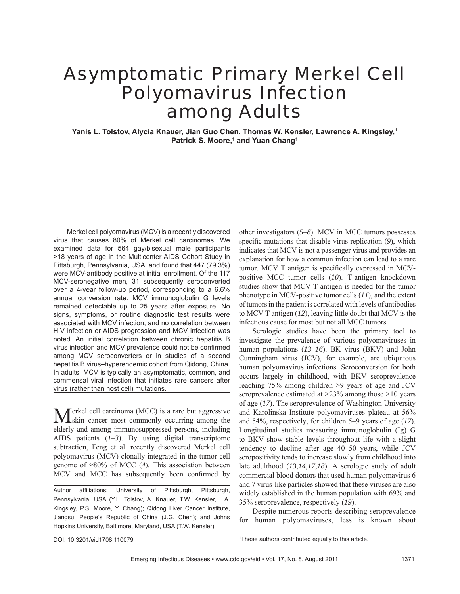# Asymptomatic Primary Merkel Cell Polyomavirus Infection among Adults

**Yanis L. Tolstov, Alycia Knauer, Jian Guo Chen, Thomas W. Kensler, Lawrence A. Kingsley,1** Patrick S. Moore,<sup>1</sup> and Yuan Chang<sup>1</sup>

Merkel cell polyomavirus (MCV) is a recently discovered virus that causes 80% of Merkel cell carcinomas. We examined data for 564 gay/bisexual male participants >18 years of age in the Multicenter AIDS Cohort Study in Pittsburgh, Pennsylvania, USA, and found that 447 (79.3%) were MCV-antibody positive at initial enrollment. Of the 117 MCV-seronegative men, 31 subsequently seroconverted over a 4-year follow-up period, corresponding to a 6.6% annual conversion rate. MCV immunoglobulin G levels remained detectable up to 25 years after exposure. No signs, symptoms, or routine diagnostic test results were associated with MCV infection, and no correlation between HIV infection or AIDS progression and MCV infection was noted. An initial correlation between chronic hepatitis B virus infection and MCV prevalence could not be confirmed among MCV seroconverters or in studies of a second hepatitis B virus–hyperendemic cohort from Qidong, China. In adults, MCV is typically an asymptomatic, common, and commensal viral infection that initiates rare cancers after virus (rather than host cell) mutations.

Merkel cell carcinoma (MCC) is a rare but aggressive skin cancer most commonly occurring among the elderly and among immunosuppressed persons, including AIDS patients (*1*–*3*). By using digital transcriptome subtraction, Feng et al. recently discovered Merkel cell polyomavirus (MCV) clonally integrated in the tumor cell genome of ≈80% of MCC (*4*). This association between MCV and MCC has subsequently been confirmed by

Author affiliations: University of Pittsburgh, Pittsburgh, Pennsylvania, USA (Y.L. Tolstov, A. Knauer, T.W. Kensler, L.A. Kingsley, P.S. Moore, Y. Chang); Qidong Liver Cancer Institute, Jiangsu, People's Republic of China (J.G. Chen); and Johns Hopkins University, Baltimore, Maryland, USA (T.W. Kensler)

other investigators (*5*–*8*). MCV in MCC tumors possesses specific mutations that disable virus replication (9), which indicates that MCV is not a passenger virus and provides an explanation for how a common infection can lead to a rare tumor. MCV T antigen is specifically expressed in MCVpositive MCC tumor cells (*10*). T-antigen knockdown studies show that MCV T antigen is needed for the tumor phenotype in MCV-positive tumor cells (*11*), and the extent of tumors in the patient is correlated with levels of antibodies to MCV T antigen (*12*), leaving little doubt that MCV is the infectious cause for most but not all MCC tumors.

Serologic studies have been the primary tool to investigate the prevalence of various polyomaviruses in human populations (*13*–*16*). BK virus (BKV) and John Cunningham virus (JCV), for example, are ubiquitous human polyomavirus infections. Seroconversion for both occurs largely in childhood, with BKV seroprevalence reaching 75% among children >9 years of age and JCV seroprevalence estimated at >23% among those >10 years of age (*17*). The seroprevalence of Washington University and Karolinska Institute polyomaviruses plateau at 56% and 54%, respectively, for children 5–9 years of age (*17*). Longitudinal studies measuring immunoglobulin (Ig) G to BKV show stable levels throughout life with a slight tendency to decline after age 40–50 years, while JCV seropositivity tends to increase slowly from childhood into late adulthood (*13*,*14*,*17*,*18*). A serologic study of adult commercial blood donors that used human polyomavirus 6 and 7 virus-like particles showed that these viruses are also widely established in the human population with 69% and 35% seroprevalence, respectively (*19*).

Despite numerous reports describing seroprevalence for human polyomaviruses, less is known about

DOI: 10.3201/eid1708.110079

<sup>1</sup>These authors contributed equally to this article.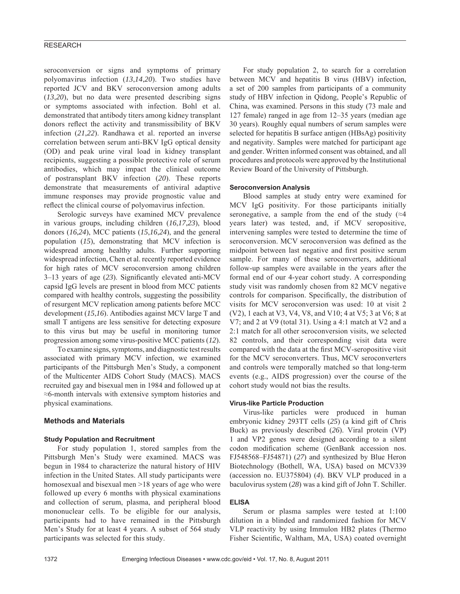seroconversion or signs and symptoms of primary polyomavirus infection (*13*,*14*,*20*). Two studies have reported JCV and BKV seroconversion among adults (*13*,*20*), but no data were presented describing signs or symptoms associated with infection. Bohl et al. demonstrated that antibody titers among kidney transplant donors reflect the activity and transmissibility of BKV infection (*21*,*22*). Randhawa et al. reported an inverse correlation between serum anti-BKV IgG optical density (OD) and peak urine viral load in kidney transplant recipients, suggesting a possible protective role of serum antibodies, which may impact the clinical outcome of postransplant BKV infection (*20*). These reports demonstrate that measurements of antiviral adaptive immune responses may provide prognostic value and reflect the clinical course of polyomavirus infection.

Serologic surveys have examined MCV prevalence in various groups, including children (*16*,*17*,*23*), blood donors (*16*,*24*), MCC patients (*15*,*16*,*24*), and the general population (*15*), demonstrating that MCV infection is widespread among healthy adults. Further supporting widespread infection, Chen et al. recently reported evidence for high rates of MCV seroconversion among children 3–13 years of age (23). Significantly elevated anti-MCV capsid IgG levels are present in blood from MCC patients compared with healthy controls, suggesting the possibility of resurgent MCV replication among patients before MCC development (*15*,*16*). Antibodies against MCV large T and small T antigens are less sensitive for detecting exposure to this virus but may be useful in monitoring tumor progression among some virus-positive MCC patients (*12*).

To examine signs, symptoms, and diagnostic test results associated with primary MCV infection, we examined participants of the Pittsburgh Men's Study, a component of the Multicenter AIDS Cohort Study (MACS). MACS recruited gay and bisexual men in 1984 and followed up at ≈6-month intervals with extensive symptom histories and physical examinations.

# **Methods and Materials**

## **Study Population and Recruitment**

For study population 1, stored samples from the Pittsburgh Men's Study were examined. MACS was begun in 1984 to characterize the natural history of HIV infection in the United States. All study participants were homosexual and bisexual men >18 years of age who were followed up every 6 months with physical examinations and collection of serum, plasma, and peripheral blood mononuclear cells. To be eligible for our analysis, participants had to have remained in the Pittsburgh Men's Study for at least 4 years. A subset of 564 study participants was selected for this study.

For study population 2, to search for a correlation between MCV and hepatitis B virus (HBV) infection, a set of 200 samples from participants of a community study of HBV infection in Qidong, People's Republic of China, was examined. Persons in this study (73 male and 127 female) ranged in age from 12–35 years (median age 30 years). Roughly equal numbers of serum samples were selected for hepatitis B surface antigen (HBsAg) positivity and negativity. Samples were matched for participant age and gender. Written informed consent was obtained, and all procedures and protocols were approved by the Institutional Review Board of the University of Pittsburgh.

## **Seroconversion Analysis**

Blood samples at study entry were examined for MCV IgG positivity. For those participants initially seronegative, a sample from the end of the study  $(24)$ years later) was tested, and, if MCV seropositive, intervening samples were tested to determine the time of seroconversion. MCV seroconversion was defined as the midpoint between last negative and first positive serum sample. For many of these seroconverters, additional follow-up samples were available in the years after the formal end of our 4-year cohort study. A corresponding study visit was randomly chosen from 82 MCV negative controls for comparison. Specifically, the distribution of visits for MCV seroconversion was used: 10 at visit 2 (V2), 1 each at V3, V4, V8, and V10; 4 at V5; 3 at V6; 8 at V7; and 2 at V9 (total 31). Using a 4:1 match at V2 and a 2:1 match for all other seroconversion visits, we selected 82 controls, and their corresponding visit data were compared with the data at the first MCV-seropositive visit for the MCV seroconverters. Thus, MCV seroconverters and controls were temporally matched so that long-term events (e.g., AIDS progression) over the course of the cohort study would not bias the results.

## **Virus-like Particle Production**

Virus-like particles were produced in human embryonic kidney 293TT cells (*25*) (a kind gift of Chris Buck) as previously described (*26*). Viral protein (VP) 1 and VP2 genes were designed according to a silent codon modification scheme (GenBank accession nos. FJ548568–FJ54871) (*27*) and synthesized by Blue Heron Biotechnology (Bothell, WA, USA) based on MCV339 (accession no. EU375804) (*4*). BKV VLP produced in a baculovirus system (*28*) was a kind gift of John T. Schiller.

# **ELISA**

Serum or plasma samples were tested at 1:100 dilution in a blinded and randomized fashion for MCV VLP reactivity by using Immulon HB2 plates (Thermo Fisher Scientific, Waltham, MA, USA) coated overnight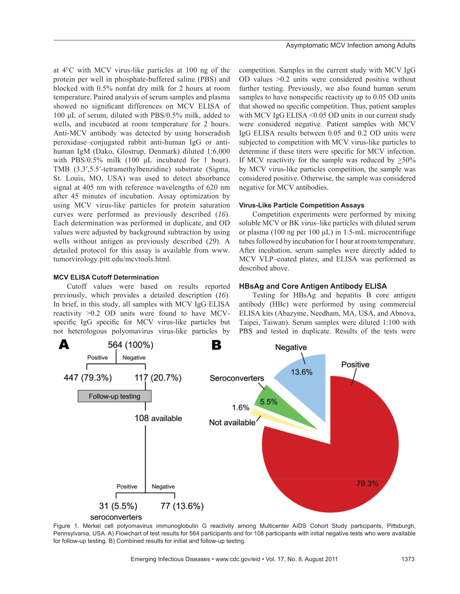at 4°C with MCV virus-like particles at 100 ng of the protein per well in phosphate-buffered saline (PBS) and blocked with 0.5% nonfat dry milk for 2 hours at room temperature. Paired analysis of serum samples and plasma showed no significant differences on MCV ELISA of 100 μL of serum, diluted with PBS/0.5% milk, added to wells, and incubated at room temperature for 2 hours. Anti-MCV antibody was detected by using horseradish peroxidase–conjugated rabbit anti-human IgG or antihuman IgM (Dako, Glostrup, Denmark) diluted 1:6,000 with PBS/0.5% milk (100 μL incubated for 1 hour). TMB (3.3′,5.5′-tetramethylbenzidine) substrate (Sigma, St. Louis, MO, USA) was used to detect absorbance signal at 405 nm with reference wavelengths of 620 nm after 45 minutes of incubation. Assay optimization by using MCV virus-like particles for protein saturation curves were performed as previously described (*16*). Each determination was performed in duplicate, and OD values were adjusted by background subtraction by using wells without antigen as previously described (*29*). A detailed protocol for this assay is available from www. tumorvirology.pitt.edu/mcvtools.html.

# **MCV ELISA Cutoff Determination**

Cutoff values were based on results reported previously, which provides a detailed description (*16*). In brief, in this study, all samples with MCV IgG ELISA reactivity >0.2 OD units were found to have MCVspecific IgG specific for MCV virus-like particles but not heterologous polyomavirus virus-like particles by competition. Samples in the current study with MCV IgG OD values >0.2 units were considered positive without further testing. Previously, we also found human serum samples to have nonspecific reactivity up to 0.05 OD units that showed no specific competition. Thus, patient samples with MCV IgG ELISA < 0.05 OD units in our current study were considered negative. Patient samples with MCV IgG ELISA results between 0.05 and 0.2 OD units were subjected to competition with MCV virus-like particles to determine if these titers were specific for MCV infection. If MCV reactivity for the sample was reduced by  $>50\%$ by MCV virus-like particles competition, the sample was considered positive. Otherwise, the sample was considered negative for MCV antibodies.

## **Virus-Like Particle Competition Assays**

Competition experiments were performed by mixing soluble MCV or BK virus–like particles with diluted serum or plasma (100 ng per 100 μL) in 1.5-mL microcentrifuge tubes followed by incubation for 1 hour at room temperature. After incubation, serum samples were directly added to MCV VLP–coated plates, and ELISA was performed as described above.

# **HBsAg and Core Antigen Antibody ELISA**

Testing for HBsAg and hepatitis B core antigen antibody (HBc) were performed by using commercial ELISA kits (Abazyme, Needham, MA, USA, and Abnova, Taipei, Taiwan). Serum samples were diluted 1:100 with PBS and tested in duplicate. Results of the tests were



Figure 1. Merkel cell polyomavirus immunoglobulin G reactivity among Multicenter AIDS Cohort Study participants, Pittsburgh, Pennsylvania, USA. A) Flowchart of test results for 564 participants and for 108 participants with initial negative tests who were available for follow-up testing. B) Combined results for initial and follow-up testing.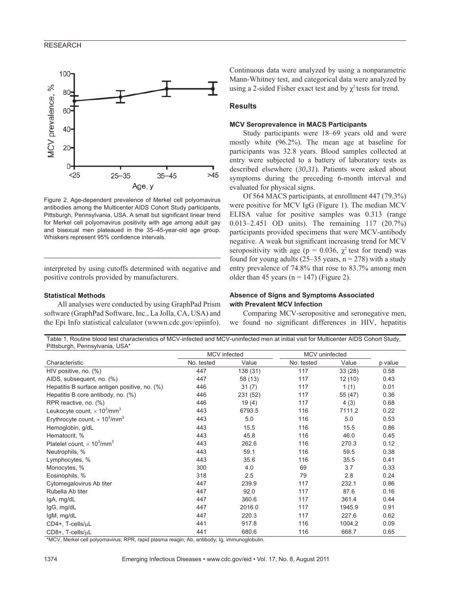

Figure 2. Age-dependent prevalence of Merkel cell polyomavirus antibodies among the Multicenter AIDS Cohort Study participants, Pittsburgh, Pennsylvania, USA. A small but significant linear trend for Merkel cell polyomavirus positivity with age among adult gay and bisexual men plateaued in the 35–45-year-old age group. Whiskers represent 95% confidence intervals.

interpreted by using cutoffs determined with negative and positive controls provided by manufacturers.

#### **Statistical Methods**

All analyses were conducted by using GraphPad Prism software (GraphPad Software, Inc., La Jolla, CA, USA) and the Epi Info statistical calculator (wwwn.cdc.gov/epiinfo). Continuous data were analyzed by using a nonparametric Mann-Whitney test, and categorical data were analyzed by using a 2-sided Fisher exact test and by  $\chi^2$  tests for trend.

## **Results**

## **MCV Seroprevalence in MACS Participants**

Study participants were 18–69 years old and were mostly white (96.2%). The mean age at baseline for participants was 32.8 years. Blood samples collected at entry were subjected to a battery of laboratory tests as described elsewhere (*30*,*31*). Patients were asked about symptoms during the preceding 6-month interval and evaluated for physical signs.

Of 564 MACS participants, at enrollment 447 (79.3%) were positive for MCV IgG (Figure 1). The median MCV ELISA value for positive samples was 0.313 (range 0.013–2.451 OD units). The remaining 117 (20.7%) participants provided specimens that were MCV-antibody negative. A weak but significant increasing trend for MCV seropositivity with age (p = 0.036,  $\chi^2$  test for trend) was found for young adults (25–35 years,  $n = 278$ ) with a study entry prevalence of 74.8% that rose to 83.7% among men older than 45 years  $(n = 147)$  (Figure 2).

# **Absence of Signs and Symptoms Associated with Prevalent MCV Infection**

Comparing MCV-seropositive and seronegative men, we found no significant differences in HIV, hepatitis

Table 1. Routine blood test characteristics of MCV-infected and MCV-uninfected men at initial visit for Multicenter AIDS Cohort Study, Pittsburgh, Pennsylvania, USA\*

|                                                              | MCV infected |          | MCV uninfected |         |         |
|--------------------------------------------------------------|--------------|----------|----------------|---------|---------|
| Characteristic                                               | No. tested   | Value    | No. tested     | Value   | p value |
| HIV positive, no. (%)                                        | 447          | 138 (31) | 117            | 33(28)  | 0.58    |
| AIDS, subsequent, no. (%)                                    | 447          | 58 (13)  | 117            | 12(10)  | 0.43    |
| Hepatitis B surface antigen positive, no. (%)                | 446          | 31(7)    | 117            | 1(1)    | 0.01    |
| Hepatitis B core antibody, no. (%)                           | 446          | 231 (52) | 117            | 55 (47) | 0.36    |
| RPR reactive, no. (%)                                        | 446          | 19(4)    | 117            | 4(3)    | 0.68    |
| Leukocyte count, $\times$ 10 <sup>3</sup> /mm <sup>3</sup>   | 443          | 6793.5   | 116            | 7111.2  | 0.22    |
| Erythrocyte count, $\times$ 10 <sup>3</sup> /mm <sup>3</sup> | 443          | 5.0      | 116            | 5.0     | 0.53    |
| Hemoglobin, g/dL                                             | 443          | 15.5     | 116            | 15.5    | 0.86    |
| Hematocrit, %                                                | 443          | 45.8     | 116            | 46.0    | 0.45    |
| Platelet count, $\times$ 10 <sup>3</sup> /mm <sup>3</sup>    | 443          | 262.6    | 116            | 270.3   | 0.12    |
| Neutrophils, %                                               | 443          | 59.1     | 116            | 59.5    | 0.38    |
| Lymphocytes, %                                               | 443          | 35.6     | 116            | 35.5    | 0.41    |
| Monocytes, %                                                 | 300          | 4.0      | 69             | 3.7     | 0.33    |
| Eosinophils, %                                               | 318          | 2.5      | 79             | 2.8     | 0.24    |
| Cytomegalovirus Ab titer                                     | 447          | 239.9    | 117            | 232.1   | 0.86    |
| Rubella Ab titer                                             | 447          | 92.0     | 117            | 87.6    | 0.16    |
| IgA, mg/dL                                                   | 447          | 360.6    | 117            | 361.4   | 0.44    |
| IgG, mg/dL                                                   | 447          | 2016.0   | 117            | 1945.9  | 0.91    |
| IgM, mg/dL                                                   | 447          | 220.3    | 117            | 227.6   | 0.62    |
| $CD4+$ , T-cells/ $\mu$ L                                    | 441          | 917.8    | 116            | 1004.2  | 0.09    |
| CD8+, T-cells/uL                                             | 441          | 680.6    | 116            | 668.7   | 0.65    |

\*MCV, Merkel cell polyomavirus; RPR, rapid plasma reagin; Ab, antibody; Ig, immunoglobulin.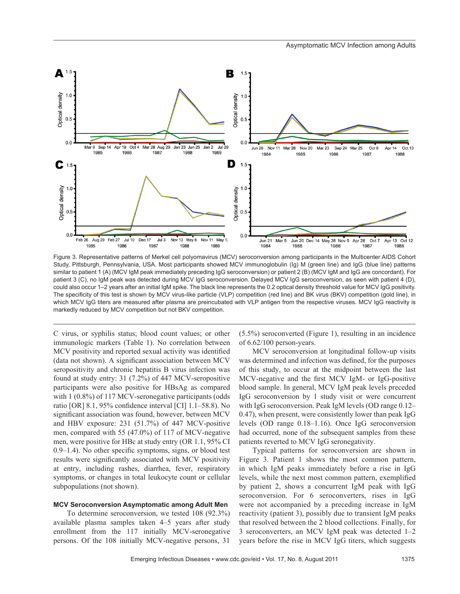

Figure 3. Representative patterns of Merkel cell polyomavirus (MCV) seroconversion among participants in the Multicenter AIDS Cohort Study, Pittsburgh, Pennsylvania, USA. Most participants showed MCV immunoglobulin (Ig) M (green line) and IgG (blue line) patterns similar to patient 1 (A) (MCV IgM peak immediately preceding IgG seroconversion) or patient 2 (B) (MCV IgM and IgG are concordant). For patient 3 (C), no IgM peak was detected during MCV IgG seroconversion. Delayed MCV IgG seroconversion, as seen with patient 4 (D), could also occur 1–2 years after an initial IgM spike. The black line represents the 0.2 optical density threshold value for MCV IgG positivity. The specificity of this test is shown by MCV virus-like particle (VLP) competition (red line) and BK virus (BKV) competition (gold line), in which MCV IgG titers are measured after plasma are preincubated with VLP antigen from the respective viruses. MCV IgG reactivity is markedly reduced by MCV competition but not BKV competition.

C virus, or syphilis status; blood count values; or other immunologic markers (Table 1). No correlation between MCV positivity and reported sexual activity was identified (data not shown). A significant association between MCV seropositivity and chronic hepatitis B virus infection was found at study entry: 31 (7.2%) of 447 MCV-seropositive participants were also positive for HBsAg as compared with 1 (0.8%) of 117 MCV-seronegative participants (odds ratio [OR]  $8.1$ , 95% confidence interval [CI]  $1.1-58.8$ ). No significant association was found, however, between MCV and HBV exposure: 231 (51.7%) of 447 MCV-positive men, compared with 55 (47.0%) of 117 of MCV-negative men, were positive for HBc at study entry (OR 1.1, 95% CI  $0.9-1.4$ ). No other specific symptoms, signs, or blood test results were significantly associated with MCV positivity at entry, including rashes, diarrhea, fever, respiratory symptoms, or changes in total leukocyte count or cellular subpopulations (not shown).

# **MCV Seroconversion Asymptomatic among Adult Men**

To determine seroconversion, we tested 108 (92.3%) available plasma samples taken 4–5 years after study enrollment from the 117 initially MCV-seronegative persons. Of the 108 initially MCV-negative persons, 31 (5.5%) seroconverted (Figure 1), resulting in an incidence of 6.62/100 person-years.

MCV seroconversion at longitudinal follow-up visits was determined and infection was defined, for the purposes of this study, to occur at the midpoint between the last MCV-negative and the first MCV IgM- or IgG-positive blood sample. In general, MCV IgM peak levels preceded IgG seroconversion by 1 study visit or were concurrent with IgG seroconversion. Peak IgM levels (OD range 0.12– 0.47), when present, were consistently lower than peak IgG levels (OD range 0.18–1.16). Once IgG seroconversion had occurred, none of the subsequent samples from these patients reverted to MCV IgG seronegativity.

Typical patterns for seroconversion are shown in Figure 3. Patient 1 shows the most common pattern, in which IgM peaks immediately before a rise in IgG levels, while the next most common pattern, exemplified by patient 2, shows a concurrent IgM peak with IgG seroconversion. For 6 seroconverters, rises in IgG were not accompanied by a preceding increase in IgM reactivity (patient 3), possibly due to transient IgM peaks that resolved between the 2 blood collections. Finally, for 3 seroconverters, an MCV IgM peak was detected 1–2 years before the rise in MCV IgG titers, which suggests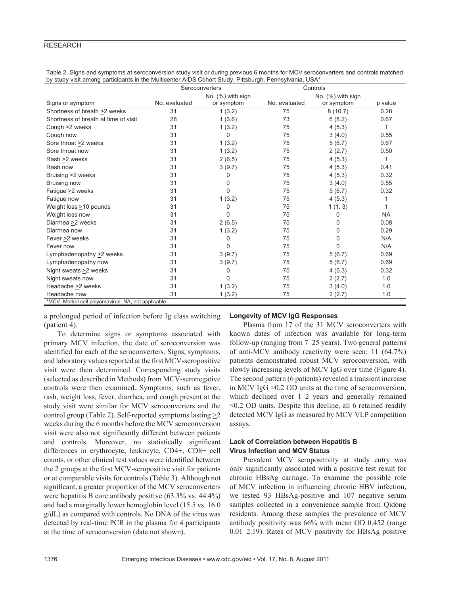| Table 2. Signs and symptoms at seroconversion study visit or during previous 6 months for MCV seroconverters and controls matched |
|-----------------------------------------------------------------------------------------------------------------------------------|
| by study visit among participants in the Multicenter AIDS Cohort Study, Pittsburgh, Pennsylvania, USA*                            |

|                                                     | Seroconverters |                   | Controls      |                   |           |
|-----------------------------------------------------|----------------|-------------------|---------------|-------------------|-----------|
|                                                     |                | No. (%) with sign |               | No. (%) with sign |           |
| Signs or symptom                                    | No. evaluated  | or symptom        | No. evaluated | or symptom        | p value   |
| Shortness of breath >2 weeks                        | 31             | 1(3.2)            | 75            | 8(10.7)           | 0.28      |
| Shortness of breath at time of visit                | 28             | 1(3.6)            | 73            | 6(8.2)            | 0.67      |
| Cough >2 weeks                                      | 31             | 1(3.2)            | 75            | 4(5.3)            | 1         |
| Cough now                                           | 31             | 0                 | 75            | 3(4.0)            | 0.55      |
| Sore throat >2 weeks                                | 31             | 1(3.2)            | 75            | 5(6.7)            | 0.67      |
| Sore throat now                                     | 31             | 1(3.2)            | 75            | 2(2.7)            | 0.50      |
| Rash > 2 weeks                                      | 31             | 2(6.5)            | 75            | 4(5.3)            | 1         |
| Rash now                                            | 31             | 3(9.7)            | 75            | 4(5.3)            | 0.41      |
| Bruising $\geq$ weeks                               | 31             | 0                 | 75            | 4(5.3)            | 0.32      |
| Bruising now                                        | 31             | 0                 | 75            | 3(4.0)            | 0.55      |
| Fatigue > 2 weeks                                   | 31             | 0                 | 75            | 5(6.7)            | 0.32      |
| Fatigue now                                         | 31             | 1(3.2)            | 75            | 4(5.3)            | 1         |
| Weight loss >10 pounds                              | 31             | 0                 | 75            | 1(1.3)            |           |
| Weight loss now                                     | 31             | 0                 | 75            | 0                 | <b>NA</b> |
| Diarrhea >2 weeks                                   | 31             | 2(6.5)            | 75            | 0                 | 0.08      |
| Diarrhea now                                        | 31             | 1(3.2)            | 75            | 0                 | 0.29      |
| Fever >2 weeks                                      | 31             | 0                 | 75            | 0                 | N/A       |
| Fever now                                           | 31             | 0                 | 75            | $\Omega$          | N/A       |
| Lymphadenopathy > 2 weeks                           | 31             | 3(9.7)            | 75            | 5(6.7)            | 0.69      |
| Lymphadenopathy now                                 | 31             | 3(9.7)            | 75            | 5(6.7)            | 0.69      |
| Night sweats $\geq$ weeks                           | 31             | 0                 | 75            | 4(5.3)            | 0.32      |
| Night sweats now                                    | 31             | $\Omega$          | 75            | 2(2.7)            | 1.0       |
| Headache >2 weeks                                   | 31             | 1(3.2)            | 75            | 3(4.0)            | 1.0       |
| Headache now                                        | 31             | 1(3.2)            | 75            | 2(2.7)            | 1.0       |
| *MCV, Merkel cell polyomavirus; NA, not applicable. |                |                   |               |                   |           |

a prolonged period of infection before Ig class switching (patient 4).

To determine signs or symptoms associated with primary MCV infection, the date of seroconversion was identified for each of the seroconverters. Signs, symptoms, and laboratory values reported at the first MCV-seropositive visit were then determined. Corresponding study visits (selected as described in Methods) from MCV-seronegative controls were then examined. Symptoms, such as fever, rash, weight loss, fever, diarrhea, and cough present at the study visit were similar for MCV seroconverters and the control group (Table 2). Self-reported symptoms lasting >2 weeks during the 6 months before the MCV seroconversion visit were also not significantly different between patients and controls. Moreover, no statistically significant differences in erythrocyte, leukocyte, CD4+, CD8+ cell counts, or other clinical test values were identified between the 2 groups at the first MCV-seropositive visit for patients or at comparable visits for controls (Table 3). Although not significant, a greater proportion of the MCV seroconverters were hepatitis B core antibody positive (63.3% vs. 44.4%) and had a marginally lower hemoglobin level (15.5 vs. 16.0 g/dL) as compared with controls. No DNA of the virus was detected by real-time PCR in the plasma for 4 participants at the time of seroconversion (data not shown).

## **Longevity of MCV IgG Responses**

Plasma from 17 of the 31 MCV seroconverters with known dates of infection was available for long-term follow-up (ranging from 7–25 years). Two general patterns of anti-MCV antibody reactivity were seen: 11 (64.7%) patients demonstrated robust MCV seroconversion, with slowly increasing levels of MCV IgG over time (Figure 4). The second pattern (6 patients) revealed a transient increase in MCV IgG >0.2 OD units at the time of seroconversion, which declined over 1–2 years and generally remained <0.2 OD units. Despite this decline, all 6 retained readily detected MCV IgG as measured by MCV VLP competition assays.

# **Lack of Correlation between Hepatitis B Virus Infection and MCV Status**

Prevalent MCV seropositivity at study entry was only significantly associated with a positive test result for chronic HBsAg carriage. To examine the possible role of MCV infection in influencing chronic HBV infection, we tested 93 HBsAg-positive and 107 negative serum samples collected in a convenience sample from Qidong residents. Among these samples the prevalence of MCV antibody positivity was 66% with mean OD 0.452 (range 0.01–2.19). Rates of MCV positivity for HBsAg positive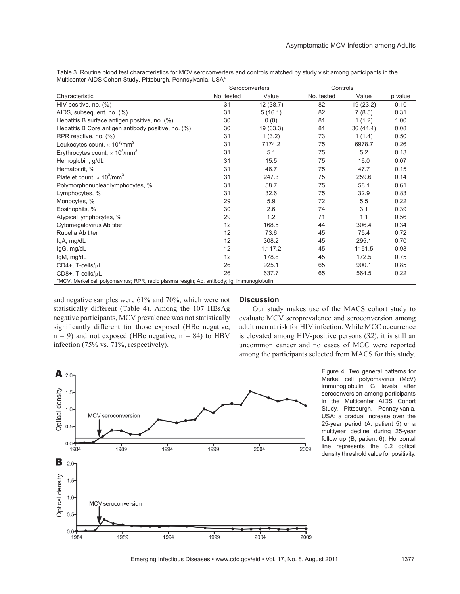|                                                                                             | Seroconverters |          | Controls   |           |         |
|---------------------------------------------------------------------------------------------|----------------|----------|------------|-----------|---------|
| Characteristic                                                                              | No. tested     | Value    | No. tested | Value     | p value |
| HIV positive, no. (%)                                                                       | 31             | 12(38.7) | 82         | 19 (23.2) | 0.10    |
| AIDS, subsequent, no. (%)                                                                   | 31             | 5(16.1)  | 82         | 7(8.5)    | 0.31    |
| Hepatitis B surface antigen positive, no. (%)                                               | 30             | 0(0)     | 81         | 1(1.2)    | 1.00    |
| Hepatitis B Core antigen antibody positive, no. (%)                                         | 30             | 19(63.3) | 81         | 36 (44.4) | 0.08    |
| RPR reactive, no. (%)                                                                       | 31             | 1(3.2)   | 73         | 1(1.4)    | 0.50    |
| Leukocytes count, $\times$ 10 <sup>3</sup> /mm <sup>3</sup>                                 | 31             | 7174.2   | 75         | 6978.7    | 0.26    |
| Erythrocytes count, $\times$ 10 <sup>3</sup> /mm <sup>3</sup>                               | 31             | 5.1      | 75         | 5.2       | 0.13    |
| Hemoglobin, g/dL                                                                            | 31             | 15.5     | 75         | 16.0      | 0.07    |
| Hematocrit, %                                                                               | 31             | 46.7     | 75         | 47.7      | 0.15    |
| Platelet count. $\times$ 10 <sup>3</sup> /mm <sup>3</sup>                                   | 31             | 247.3    | 75         | 259.6     | 0.14    |
| Polymorphonuclear lymphocytes, %                                                            | 31             | 58.7     | 75         | 58.1      | 0.61    |
| Lymphocytes, %                                                                              | 31             | 32.6     | 75         | 32.9      | 0.83    |
| Monocytes, %                                                                                | 29             | 5.9      | 72         | 5.5       | 0.22    |
| Eosinophils, %                                                                              | 30             | 2.6      | 74         | 3.1       | 0.39    |
| Atypical lymphocytes, %                                                                     | 29             | 1.2      | 71         | 1.1       | 0.56    |
| Cytomegalovirus Ab titer                                                                    | 12             | 168.5    | 44         | 306.4     | 0.34    |
| Rubella Ab titer                                                                            | 12             | 73.6     | 45         | 75.4      | 0.72    |
| IgA, mg/dL                                                                                  | 12             | 308.2    | 45         | 295.1     | 0.70    |
| IgG, mg/dL                                                                                  | 12             | 1,117.2  | 45         | 1151.5    | 0.93    |
| IgM, mg/dL                                                                                  | 12             | 178.8    | 45         | 172.5     | 0.75    |
| CD4+, T-cells/uL                                                                            | 26             | 925.1    | 65         | 900.1     | 0.85    |
| CD8+, T-cells/uL                                                                            | 26             | 637.7    | 65         | 564.5     | 0.22    |
| *MCV, Merkel cell polyomavirus; RPR, rapid plasma reagin; Ab, antibody; Ig, immunoglobulin. |                |          |            |           |         |

Table 3. Routine blood test characteristics for MCV seroconverters and controls matched by study visit among participants in the Multicenter AIDS Cohort Study, Pittsburgh, Pennsylvania, USA\*

and negative samples were 61% and 70%, which were not statistically different (Table 4). Among the 107 HBsAg negative participants, MCV prevalence was not statistically significantly different for those exposed (HBc negative,  $n = 9$ ) and not exposed (HBc negative,  $n = 84$ ) to HBV infection (75% vs. 71%, respectively).

## **Discussion**

Our study makes use of the MACS cohort study to evaluate MCV seroprevalence and seroconversion among adult men at risk for HIV infection. While MCC occurrence is elevated among HIV-positive persons (*32*), it is still an uncommon cancer and no cases of MCC were reported among the participants selected from MACS for this study.



Figure 4. Two general patterns for Merkel cell polyomavirus (McV) immunoglobulin G levels after seroconversion among participants in the Multicenter AIDS Cohort Study, Pittsburgh, Pennsylvania, USA: a gradual increase over the 25-year period (A, patient 5) or a multiyear decline during 25-year follow up (B, patient 6). Horizontal line represents the 0.2 optical density threshold value for positivity.

Emerging Infectious Diseases • www.cdc.gov/eid • Vol. 17, No. 8, August 2011 1377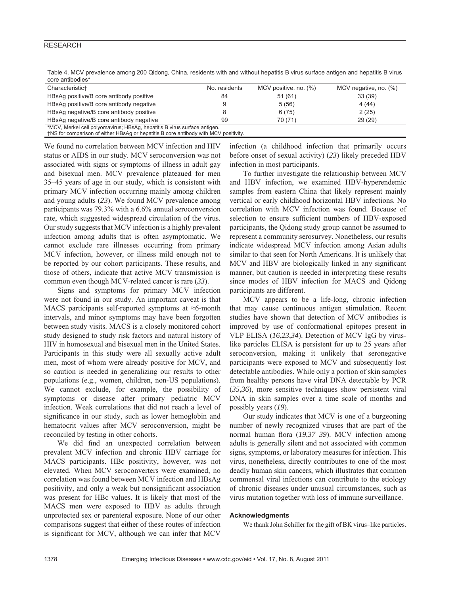| core animoules                                                       |               |                       |                       |
|----------------------------------------------------------------------|---------------|-----------------------|-----------------------|
| Characteristic <sup>+</sup>                                          | No. residents | MCV positive, no. (%) | MCV negative, no. (%) |
| HBsAg positive/B core antibody positive                              | 84            | 51(61)                | 33 (39)               |
| HBsAg positive/B core antibody negative                              |               | 5(56)                 | 4 (44)                |
| HBsAg negative/B core antibody positive                              |               | 6(75)                 | 2(25)                 |
| HBsAg negative/B core antibody negative                              | 99            | 70 (71)               | 29(29)                |
| *MOV Merical collections in a UDeAs benefitie Dairys surface ontigen |               |                       |                       |

Table 4. MCV prevalence among 200 Qidong, China, residents with and without hepatitis B virus surface antigen and hepatitis B virus core antibodies\*

MCV, Merkel cell polyomavirus; HBsAg, hepatitis B virus surface antigen. †NS for comparison of either HBsAg or hepatitis B core antibody with MCV positivity.

We found no correlation between MCV infection and HIV status or AIDS in our study. MCV seroconversion wa*s* not associated with signs or symptoms of illness in adult gay and bisexual men. MCV prevalence plateaued for men 35–45 years of age in our study, which is consistent with primary MCV infection occurring mainly among children and young adults (*23*). We found MCV prevalence among participants was 79.3% with a 6.6% annual seroconversion rate, which suggested widespread circulation of the virus. Our study suggests that MCV infection is a highly prevalent infection among adults that is often asymptomatic. We cannot exclude rare illnesses occurring from primary MCV infection, however, or illness mild enough not to be reported by our cohort participants. These results, and those of others, indicate that active MCV transmission is common even though MCV-related cancer is rare (*33*).

Signs and symptoms for primary MCV infection were not found in our study. An important caveat is that MACS participants self-reported symptoms at ≈6-month intervals, and minor symptoms may have been forgotten between study visits. MACS is a closely monitored cohort study designed to study risk factors and natural history of HIV in homosexual and bisexual men in the United States. Participants in this study were all sexually active adult men, most of whom were already positive for MCV, and so caution is needed in generalizing our results to other populations (e.g., women, children, non-US populations). We cannot exclude, for example, the possibility of symptoms or disease after primary pediatric MCV infection. Weak correlations that did not reach a level of significance in our study, such as lower hemoglobin and hematocrit values after MCV seroconversion, might be reconciled by testing in other cohorts.

We did find an unexpected correlation between prevalent MCV infection and chronic HBV carriage for MACS participants. HBc positivity, however, was not elevated. When MCV seroconverters were examined, no correlation was found between MCV infection and HBsAg positivity, and only a weak but nonsignificant association was present for HBc values. It is likely that most of the MACS men were exposed to HBV as adults through unprotected sex or parenteral exposure. None of our other comparisons suggest that either of these routes of infection is significant for MCV, although we can infer that MCV

infection (a childhood infection that primarily occurs before onset of sexual activity) (*23*) likely preceded HBV infection in most participants.

To further investigate the relationship between MCV and HBV infection, we examined HBV-hyperendemic samples from eastern China that likely represent mainly vertical or early childhood horizontal HBV infections. No correlation with MCV infection was found. Because of selection to ensure sufficient numbers of HBV-exposed participants, the Qidong study group cannot be assumed to represent a community serosurvey. Nonetheless, our results indicate widespread MCV infection among Asian adults similar to that seen for North Americans. It is unlikely that MCV and HBV are biologically linked in any significant manner, but caution is needed in interpreting these results since modes of HBV infection for MACS and Qidong participants are different.

MCV appears to be a life-long, chronic infection that may cause continuous antigen stimulation. Recent studies have shown that detection of MCV antibodies is improved by use of conformational epitopes present in VLP ELISA (*16*,*23*,*34*). Detection of MCV IgG by viruslike particles ELISA is persistent for up to 25 years after seroconversion, making it unlikely that seronegative participants were exposed to MCV and subsequently lost detectable antibodies. While only a portion of skin samples from healthy persons have viral DNA detectable by PCR (*35*,*36*), more sensitive techniques show persistent viral DNA in skin samples over a time scale of months and possibly years (*19*).

Our study indicates that MCV is one of a burgeoning number of newly recognized viruses that are part of the normal human flora (19,37–39). MCV infection among adults is generally silent and not associated with common signs, symptoms, or laboratory measures for infection. This virus, nonetheless, directly contributes to one of the most deadly human skin cancers, which illustrates that common commensal viral infections can contribute to the etiology of chronic diseases under unusual circumstances, such as virus mutation together with loss of immune surveillance.

## **Acknowledgments**

We thank John Schiller for the gift of BK virus–like particles.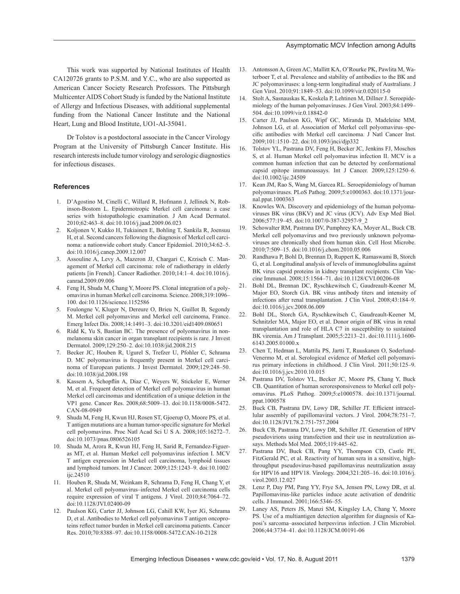## Asymptomatic MCV Infection among Adults

This work was supported by National Institutes of Health CA120726 grants to P.S.M. and Y.C., who are also supported as American Cancer Society Research Professors. The Pittsburgh Multicenter AIDS Cohort Study is funded by the National Institute of Allergy and Infectious Diseases, with additional supplemental funding from the National Cancer Institute and the National Heart, Lung and Blood Institute, UO1-AI-35041.

Dr Tolstov is a postdoctoral associate in the Cancer Virology Program at the University of Pittsburgh Cancer Institute. His research interests include tumor virology and serologic diagnostics for infectious diseases.

## **References**

- 1. D'Agostino M, Cinelli C, Willard R, Hofmann J, Jellinek N, Robinson-Bostom L. Epidermotropic Merkel cell carcinoma: a case series with histopathologic examination. J Am Acad Dermatol. 2010;62:463–8. doi:10.1016/j.jaad.2009.06.023
- 2. Koljonen V, Kukko H, Tukiainen E, Bohling T, Sankila R, Joensuu H, et al. Second cancers following the diagnosis of Merkel cell carcinoma: a nationwide cohort study. Cancer Epidemiol. 2010;34:62–5. doi:10.1016/j.canep.2009.12.007
- 3. Assouline A, Levy A, Mazeron JJ, Chargari C, Krzisch C. Management of Merkel cell carcinoma: role of radiotherapy in elderly patients [in French]. Cancer Radiother. 2010;14:1–4. doi:10.1016/j. canrad.2009.09.006
- 4. Feng H, Shuda M, Chang Y, Moore PS. Clonal integration of a polyomavirus in human Merkel cell carcinoma. Science. 2008;319:1096– 100. doi:10.1126/science.1152586
- 5. Foulongne V, Kluger N, Dereure O, Brieu N, Guillot B, Segondy M. Merkel cell polyomavirus and Merkel cell carcinoma, France. Emerg Infect Dis. 2008;14:1491–3. doi:10.3201/eid1409.080651
- 6. Ridd K, Yu S, Bastian BC. The presence of polyomavirus in nonmelanoma skin cancer in organ transplant recipients is rare. J Invest Dermatol. 2009;129:250–2. doi:10.1038/jid.2008.215
- 7. Becker JC, Houben R, Ugurel S, Trefzer U, Pfohler C, Schrama D. MC polyomavirus is frequently present in Merkel cell carcinoma of European patients. J Invest Dermatol. 2009;129:248–50. doi:10.1038/jid.2008.198
- 8. Kassem A, Schopflin A, Diaz C, Weyers W, Stickeler E, Werner M, et al. Frequent detection of Merkel cell polyomavirus in human Merkel cell carcinomas and identification of a unique deletion in the VP1 gene. Cancer Res. 2008;68:5009–13. doi:10.1158/0008-5472. CAN-08-0949
- 9. Shuda M, Feng H, Kwun HJ, Rosen ST, Gjoerup O, Moore PS, et al. T antigen mutations are a human tumor-specific signature for Merkel cell polyomavirus. Proc Natl Acad Sci U S A. 2008;105:16272–7. doi:10.1073/pnas.0806526105
- 10. Shuda M, Arora R, Kwun HJ, Feng H, Sarid R, Fernandez-Figueras MT, et al. Human Merkel cell polyomavirus infection I. MCV T antigen expression in Merkel cell carcinoma, lymphoid tissues and lymphoid tumors. Int J Cancer. 2009;125:1243–9. doi:10.1002/ ijc.24510
- 11. Houben R, Shuda M, Weinkam R, Schrama D, Feng H, Chang Y, et al. Merkel cell polyomavirus–infected Merkel cell carcinoma cells require expression of viral T antigens. J Virol. 2010;84:7064–72. doi:10.1128/JVI.02400-09
- 12. Paulson KG, Carter JJ, Johnson LG, Cahill KW, Iyer JG, Schrama D, et al. Antibodies to Merkel cell polyomavirus T antigen oncoproteins reflect tumor burden in Merkel cell carcinoma patients. Cancer Res. 2010;70:8388–97. doi:10.1158/0008-5472.CAN-10-2128
- 13. Antonsson A, Green AC, Mallitt KA, O'Rourke PK, Pawlita M, Waterboer T, et al. Prevalence and stability of antibodies to the BK and JC polyomaviruses: a long-term longitudinal study of Australians. J Gen Virol. 2010;91:1849–53. doi:10.1099/vir.0.020115-0
- 14. Stolt A, Sasnauskas K, Koskela P, Lehtinen M, Dillner J. Seroepidemiology of the human polyomaviruses. J Gen Virol. 2003;84:1499– 504. doi:10.1099/vir.0.18842-0
- 15. Carter JJ, Paulson KG, Wipf GC, Miranda D, Madeleine MM, Johnson LG, et al. Association of Merkel cell polyomavirus–specific antibodies with Merkel cell carcinoma. J Natl Cancer Inst. 2009;101:1510–22. doi:10.1093/jnci/djp332
- 16. Tolstov YL, Pastrana DV, Feng H, Becker JC, Jenkins FJ, Moschos S, et al. Human Merkel cell polyomavirus infection II. MCV is a common human infection that can be detected by conformational capsid epitope immunoassays. Int J Cancer. 2009;125:1250–6. doi:10.1002/ijc.24509
- 17. Kean JM, Rao S, Wang M, Garcea RL. Seroepidemiology of human polyomaviruses. PLoS Pathog. 2009;5:e1000363. doi:10.1371/journal.ppat.1000363
- 18. Knowles WA. Discovery and epidemiology of the human polyomaviruses BK virus (BKV) and JC virus (JCV). Adv Exp Med Biol. 2006;577:19–45. doi:10.1007/0-387-32957-9\_2
- 19. Schowalter RM, Pastrana DV, Pumphrey KA, Moyer AL, Buck CB. Merkel cell polyomavirus and two previously unknown polyomaviruses are chronically shed from human skin. Cell Host Microbe. 2010;7:509–15. doi:10.1016/j.chom.2010.05.006
- Randhawa P, Bohl D, Brennan D, Ruppert K, Ramaswami B, Storch G, et al. Longitudinal analysis of levels of immunoglobulins against BK virus capsid proteins in kidney transplant recipients. Clin Vaccine Immunol. 2008;15:1564–71. doi:10.1128/CVI.00206-08
- 21. Bohl DL, Brennan DC, Ryschkewitsch C, Gaudreault-Keener M, Major EO, Storch GA. BK virus antibody titers and intensity of infections after renal transplantation. J Clin Virol. 2008;43:184–9. doi:10.1016/j.jcv.2008.06.009
- 22. Bohl DL, Storch GA, Ryschkewitsch C, Gaudreault-Keener M, Schnitzler MA, Major EO, et al. Donor origin of BK virus in renal transplantation and role of HLA C7 in susceptibility to sustained BK viremia. Am J Transplant. 2005;5:2213–21. doi:10.1111/j.1600- 6143.2005.01000.x
- 23. Chen T, Hedman L, Mattila PS, Jartti T, Ruuskanen O, Soderlund-Venermo M, et al. Serological evidence of Merkel cell polyomavirus primary infections in childhood. J Clin Virol. 2011;50:125–9. doi:10.1016/j.jcv.2010.10.015
- 24. Pastrana DV, Tolstov YL, Becker JC, Moore PS, Chang Y, Buck CB. Quantitation of human seroresponsiveness to Merkel cell polyomavirus. PLoS Pathog. 2009;5:e1000578. doi:10.1371/journal. ppat.1000578
- 25. Buck CB, Pastrana DV, Lowy DR, Schiller JT. Efficient intracellular assembly of papillomaviral vectors. J Virol. 2004;78:751–7. doi:10.1128/JVI.78.2.751-757.2004
- 26. Buck CB, Pastrana DV, Lowy DR, Schiller JT. Generation of HPV pseudovirions using transfection and their use in neutralization assays. Methods Mol Med. 2005;119:445–62.
- 27. Pastrana DV, Buck CB, Pang YY, Thompson CD, Castle PE, FitzGerald PC, et al. Reactivity of human sera in a sensitive, highthroughput pseudovirus-based papillomavirus neutralization assay for HPV16 and HPV18. Virology. 2004;321:205–16. doi:10.1016/j. virol.2003.12.027
- 28. Lenz P, Day PM, Pang YY, Frye SA, Jensen PN, Lowy DR, et al. Papillomavirus-like particles induce acute activation of dendritic cells. J Immunol. 2001;166:5346–55.
- Laney AS, Peters JS, Manzi SM, Kingsley LA, Chang Y, Moore PS. Use of a multiantigen detection algorithm for diagnosis of Kaposi's sarcoma–associated herpesvirus infection. J Clin Microbiol. 2006;44:3734–41. doi:10.1128/JCM.00191-06